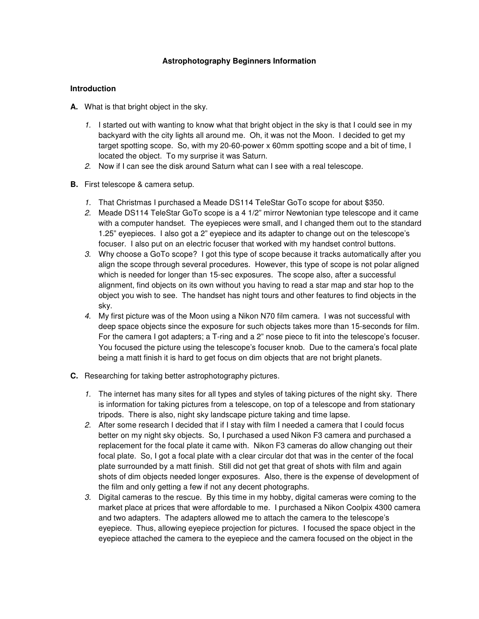## **Astrophotography Beginners Information**

#### **Introduction**

- **A.** What is that bright object in the sky.
	- 1. I started out with wanting to know what that bright object in the sky is that I could see in my backyard with the city lights all around me. Oh, it was not the Moon. I decided to get my target spotting scope. So, with my 20-60-power x 60mm spotting scope and a bit of time, I located the object. To my surprise it was Saturn.
	- 2. Now if I can see the disk around Saturn what can I see with a real telescope.
- **B.** First telescope & camera setup.
	- 1. That Christmas I purchased a Meade DS114 TeleStar GoTo scope for about \$350.
	- 2. Meade DS114 TeleStar GoTo scope is a 4 1/2" mirror Newtonian type telescope and it came with a computer handset. The eyepieces were small, and I changed them out to the standard 1.25" eyepieces. I also got a 2" eyepiece and its adapter to change out on the telescope's focuser. I also put on an electric focuser that worked with my handset control buttons.
	- 3. Why choose a GoTo scope? I got this type of scope because it tracks automatically after you align the scope through several procedures. However, this type of scope is not polar aligned which is needed for longer than 15-sec exposures. The scope also, after a successful alignment, find objects on its own without you having to read a star map and star hop to the object you wish to see. The handset has night tours and other features to find objects in the sky.
	- 4. My first picture was of the Moon using a Nikon N70 film camera. I was not successful with deep space objects since the exposure for such objects takes more than 15-seconds for film. For the camera I got adapters; a T-ring and a 2" nose piece to fit into the telescope's focuser. You focused the picture using the telescope's focuser knob. Due to the camera's focal plate being a matt finish it is hard to get focus on dim objects that are not bright planets.
- **C.** Researching for taking better astrophotography pictures.
	- 1. The internet has many sites for all types and styles of taking pictures of the night sky. There is information for taking pictures from a telescope, on top of a telescope and from stationary tripods. There is also, night sky landscape picture taking and time lapse.
	- 2. After some research I decided that if I stay with film I needed a camera that I could focus better on my night sky objects. So, I purchased a used Nikon F3 camera and purchased a replacement for the focal plate it came with. Nikon F3 cameras do allow changing out their focal plate. So, I got a focal plate with a clear circular dot that was in the center of the focal plate surrounded by a matt finish. Still did not get that great of shots with film and again shots of dim objects needed longer exposures. Also, there is the expense of development of the film and only getting a few if not any decent photographs.
	- 3. Digital cameras to the rescue. By this time in my hobby, digital cameras were coming to the market place at prices that were affordable to me. I purchased a Nikon Coolpix 4300 camera and two adapters. The adapters allowed me to attach the camera to the telescope's eyepiece. Thus, allowing eyepiece projection for pictures. I focused the space object in the eyepiece attached the camera to the eyepiece and the camera focused on the object in the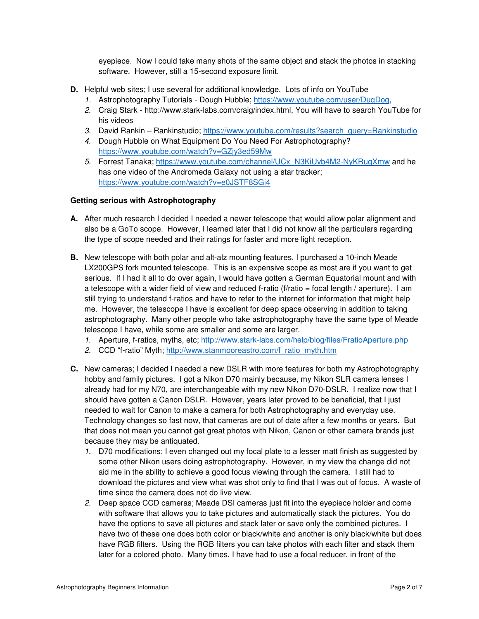eyepiece. Now I could take many shots of the same object and stack the photos in stacking software. However, still a 15-second exposure limit.

- **D.** Helpful web sites; I use several for additional knowledge. Lots of info on YouTube
	- 1. Astrophotography Tutorials Dough Hubble; https://www.youtube.com/user/DugDog,
	- 2. Craig Stark http://www.stark-labs.com/craig/index.html, You will have to search YouTube for his videos
	- 3. David Rankin Rankinstudio; https://www.youtube.com/results?search\_query=Rankinstudio
	- 4. Dough Hubble on What Equipment Do You Need For Astrophotography? https://www.youtube.com/watch?v=GZjy3ed59Mw
	- 5. Forrest Tanaka; https://www.youtube.com/channel/UCx\_N3KiUvb4M2-NyKRugXmw and he has one video of the Andromeda Galaxy not using a star tracker; https://www.youtube.com/watch?v=e0JSTF8SGi4

### **Getting serious with Astrophotography**

- **A.** After much research I decided I needed a newer telescope that would allow polar alignment and also be a GoTo scope. However, I learned later that I did not know all the particulars regarding the type of scope needed and their ratings for faster and more light reception.
- **B.** New telescope with both polar and alt-alz mounting features, I purchased a 10-inch Meade LX200GPS fork mounted telescope. This is an expensive scope as most are if you want to get serious. If I had it all to do over again, I would have gotten a German Equatorial mount and with a telescope with a wider field of view and reduced f-ratio (f/ratio = focal length / aperture). I am still trying to understand f-ratios and have to refer to the internet for information that might help me. However, the telescope I have is excellent for deep space observing in addition to taking astrophotography. Many other people who take astrophotography have the same type of Meade telescope I have, while some are smaller and some are larger.
	- 1. Aperture, f-ratios, myths, etc; http://www.stark-labs.com/help/blog/files/FratioAperture.php
	- 2. CCD "f-ratio" Myth; http://www.stanmooreastro.com/f\_ratio\_myth.htm
- **C.** New cameras; I decided I needed a new DSLR with more features for both my Astrophotography hobby and family pictures. I got a Nikon D70 mainly because, my Nikon SLR camera lenses I already had for my N70, are interchangeable with my new Nikon D70-DSLR. I realize now that I should have gotten a Canon DSLR. However, years later proved to be beneficial, that I just needed to wait for Canon to make a camera for both Astrophotography and everyday use. Technology changes so fast now, that cameras are out of date after a few months or years. But that does not mean you cannot get great photos with Nikon, Canon or other camera brands just because they may be antiquated.
	- 1. D70 modifications; I even changed out my focal plate to a lesser matt finish as suggested by some other Nikon users doing astrophotography. However, in my view the change did not aid me in the ability to achieve a good focus viewing through the camera. I still had to download the pictures and view what was shot only to find that I was out of focus. A waste of time since the camera does not do live view.
	- 2. Deep space CCD cameras; Meade DSI cameras just fit into the eyepiece holder and come with software that allows you to take pictures and automatically stack the pictures. You do have the options to save all pictures and stack later or save only the combined pictures. I have two of these one does both color or black/white and another is only black/white but does have RGB filters. Using the RGB filters you can take photos with each filter and stack them later for a colored photo. Many times, I have had to use a focal reducer, in front of the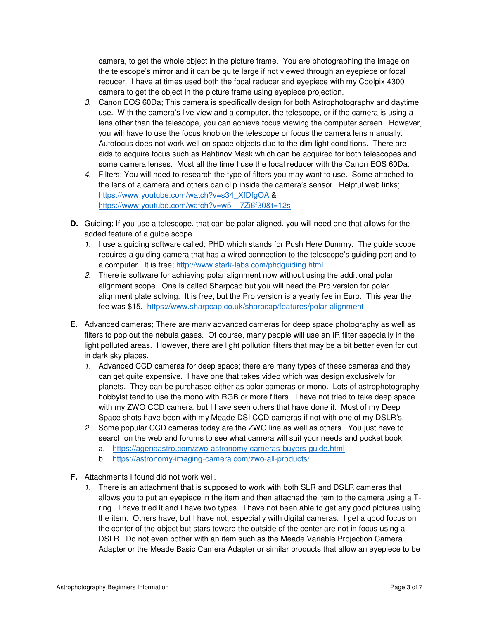camera, to get the whole object in the picture frame. You are photographing the image on the telescope's mirror and it can be quite large if not viewed through an eyepiece or focal reducer. I have at times used both the focal reducer and eyepiece with my Coolpix 4300 camera to get the object in the picture frame using eyepiece projection.

- 3. Canon EOS 60Da; This camera is specifically design for both Astrophotography and daytime use. With the camera's live view and a computer, the telescope, or if the camera is using a lens other than the telescope, you can achieve focus viewing the computer screen. However, you will have to use the focus knob on the telescope or focus the camera lens manually. Autofocus does not work well on space objects due to the dim light conditions. There are aids to acquire focus such as Bahtinov Mask which can be acquired for both telescopes and some camera lenses. Most all the time I use the focal reducer with the Canon EOS 60Da.
- 4. Filters; You will need to research the type of filters you may want to use. Some attached to the lens of a camera and others can clip inside the camera's sensor. Helpful web links; https://www.youtube.com/watch?v=s34\_XfDfgOA & https://www.youtube.com/watch?v=w5\_\_7Zi6f30&t=12s
- **D.** Guiding; If you use a telescope, that can be polar aligned, you will need one that allows for the added feature of a guide scope.
	- 1. I use a guiding software called; PHD which stands for Push Here Dummy. The guide scope requires a guiding camera that has a wired connection to the telescope's guiding port and to a computer. It is free; http://www.stark-labs.com/phdguiding.html
	- 2. There is software for achieving polar alignment now without using the additional polar alignment scope. One is called Sharpcap but you will need the Pro version for polar alignment plate solving. It is free, but the Pro version is a yearly fee in Euro. This year the fee was \$15. https://www.sharpcap.co.uk/sharpcap/features/polar-alignment
- **E.** Advanced cameras; There are many advanced cameras for deep space photography as well as filters to pop out the nebula gases. Of course, many people will use an IR filter especially in the light polluted areas. However, there are light pollution filters that may be a bit better even for out in dark sky places.
	- 1. Advanced CCD cameras for deep space; there are many types of these cameras and they can get quite expensive. I have one that takes video which was design exclusively for planets. They can be purchased either as color cameras or mono. Lots of astrophotography hobbyist tend to use the mono with RGB or more filters. I have not tried to take deep space with my ZWO CCD camera, but I have seen others that have done it. Most of my Deep Space shots have been with my Meade DSI CCD cameras if not with one of my DSLR's.
	- 2. Some popular CCD cameras today are the ZWO line as well as others. You just have to search on the web and forums to see what camera will suit your needs and pocket book.
		- a. https://agenaastro.com/zwo-astronomy-cameras-buyers-guide.html
		- b. https://astronomy-imaging-camera.com/zwo-all-products/
- **F.** Attachments I found did not work well.
	- 1. There is an attachment that is supposed to work with both SLR and DSLR cameras that allows you to put an eyepiece in the item and then attached the item to the camera using a Tring. I have tried it and I have two types. I have not been able to get any good pictures using the item. Others have, but I have not, especially with digital cameras. I get a good focus on the center of the object but stars toward the outside of the center are not in focus using a DSLR. Do not even bother with an item such as the Meade Variable Projection Camera Adapter or the Meade Basic Camera Adapter or similar products that allow an eyepiece to be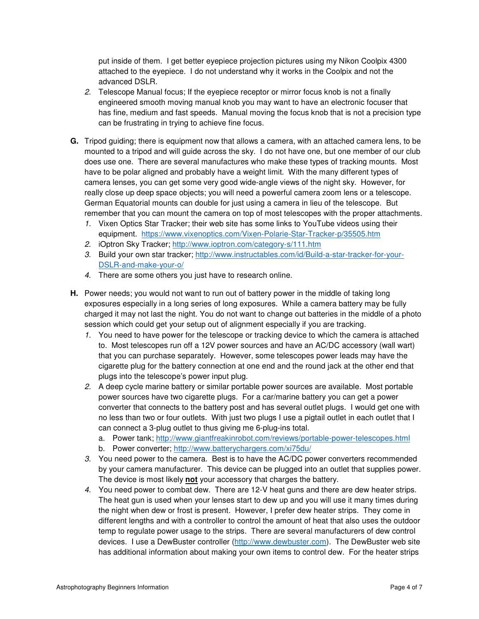put inside of them. I get better eyepiece projection pictures using my Nikon Coolpix 4300 attached to the eyepiece. I do not understand why it works in the Coolpix and not the advanced DSLR.

- 2. Telescope Manual focus; If the eyepiece receptor or mirror focus knob is not a finally engineered smooth moving manual knob you may want to have an electronic focuser that has fine, medium and fast speeds. Manual moving the focus knob that is not a precision type can be frustrating in trying to achieve fine focus.
- **G.** Tripod guiding; there is equipment now that allows a camera, with an attached camera lens, to be mounted to a tripod and will guide across the sky. I do not have one, but one member of our club does use one. There are several manufactures who make these types of tracking mounts. Most have to be polar aligned and probably have a weight limit. With the many different types of camera lenses, you can get some very good wide-angle views of the night sky. However, for really close up deep space objects; you will need a powerful camera zoom lens or a telescope. German Equatorial mounts can double for just using a camera in lieu of the telescope. But remember that you can mount the camera on top of most telescopes with the proper attachments.
	- 1. Vixen Optics Star Tracker; their web site has some links to YouTube videos using their equipment. https://www.vixenoptics.com/Vixen-Polarie-Star-Tracker-p/35505.htm
	- 2. iOptron Sky Tracker; http://www.ioptron.com/category-s/111.htm
	- 3. Build your own star tracker; http://www.instructables.com/id/Build-a-star-tracker-for-your-DSLR-and-make-your-o/
	- 4. There are some others you just have to research online.
- **H.** Power needs; you would not want to run out of battery power in the middle of taking long exposures especially in a long series of long exposures. While a camera battery may be fully charged it may not last the night. You do not want to change out batteries in the middle of a photo session which could get your setup out of alignment especially if you are tracking.
	- 1. You need to have power for the telescope or tracking device to which the camera is attached to. Most telescopes run off a 12V power sources and have an AC/DC accessory (wall wart) that you can purchase separately. However, some telescopes power leads may have the cigarette plug for the battery connection at one end and the round jack at the other end that plugs into the telescope's power input plug.
	- 2. A deep cycle marine battery or similar portable power sources are available. Most portable power sources have two cigarette plugs. For a car/marine battery you can get a power converter that connects to the battery post and has several outlet plugs. I would get one with no less than two or four outlets. With just two plugs I use a pigtail outlet in each outlet that I can connect a 3-plug outlet to thus giving me 6-plug-ins total.
		- a. Power tank; http://www.giantfreakinrobot.com/reviews/portable-power-telescopes.html
		- b. Power converter; http://www.batterychargers.com/xi75du/
	- 3. You need power to the camera. Best is to have the AC/DC power converters recommended by your camera manufacturer. This device can be plugged into an outlet that supplies power. The device is most likely **not** your accessory that charges the battery.
	- 4. You need power to combat dew. There are 12-V heat guns and there are dew heater strips. The heat gun is used when your lenses start to dew up and you will use it many times during the night when dew or frost is present. However, I prefer dew heater strips. They come in different lengths and with a controller to control the amount of heat that also uses the outdoor temp to regulate power usage to the strips. There are several manufacturers of dew control devices. I use a DewBuster controller (http://www.dewbuster.com). The DewBuster web site has additional information about making your own items to control dew. For the heater strips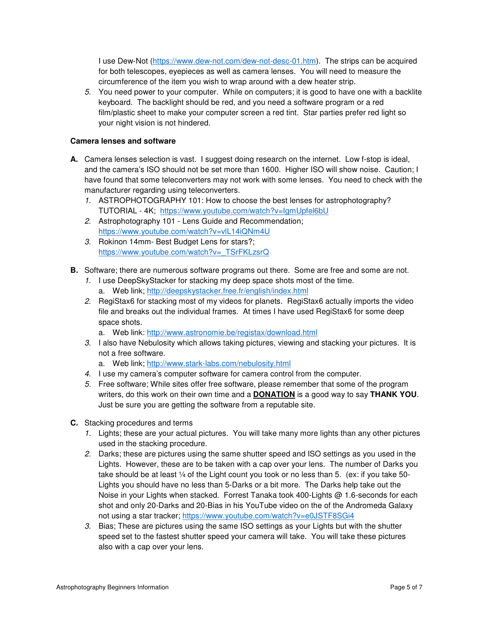I use Dew-Not (https://www.dew-not.com/dew-not-desc-01.htm). The strips can be acquired for both telescopes, eyepieces as well as camera lenses. You will need to measure the circumference of the item you wish to wrap around with a dew heater strip.

5. You need power to your computer. While on computers; it is good to have one with a backlite keyboard. The backlight should be red, and you need a software program or a red film/plastic sheet to make your computer screen a red tint. Star parties prefer red light so your night vision is not hindered.

### **Camera lenses and software**

- **A.** Camera lenses selection is vast. I suggest doing research on the internet. Low f-stop is ideal, and the camera's ISO should not be set more than 1600. Higher ISO will show noise. Caution; I have found that some teleconverters may not work with some lenses. You need to check with the manufacturer regarding using teleconverters.
	- 1. ASTROPHOTOGRAPHY 101: How to choose the best lenses for astrophotography? TUTORIAL - 4K; https://www.youtube.com/watch?v=IgmUpfel6bU
	- 2. Astrophotography 101 Lens Guide and Recommendation; https://www.youtube.com/watch?v=vlL14iQNm4U
	- 3. Rokinon 14mm- Best Budget Lens for stars?; https://www.youtube.com/watch?v=\_TSrFKLzsrQ
- **B.** Software; there are numerous software programs out there. Some are free and some are not.
	- 1. I use DeepSkyStacker for stacking my deep space shots most of the time. a. Web link; http://deepskystacker.free.fr/english/index.html
	- 2. RegiStax6 for stacking most of my videos for planets. RegiStax6 actually imports the video file and breaks out the individual frames. At times I have used RegiStax6 for some deep space shots.
		- a. Web link: http://www.astronomie.be/registax/download.html
	- 3. I also have Nebulosity which allows taking pictures, viewing and stacking your pictures. It is not a free software.
		- a. Web link; http://www.stark-labs.com/nebulosity.html
	- 4. I use my camera's computer software for camera control from the computer.
	- 5. Free software; While sites offer free software, please remember that some of the program writers, do this work on their own time and a **DONATION** is a good way to say **THANK YOU**. Just be sure you are getting the software from a reputable site.
- **C.** Stacking procedures and terms
	- 1. Lights; these are your actual pictures. You will take many more lights than any other pictures used in the stacking procedure.
	- 2. Darks; these are pictures using the same shutter speed and ISO settings as you used in the Lights. However, these are to be taken with a cap over your lens. The number of Darks you take should be at least ¼ of the Light count you took or no less than 5. (ex: if you take 50- Lights you should have no less than 5-Darks or a bit more. The Darks help take out the Noise in your Lights when stacked. Forrest Tanaka took 400-Lights @ 1.6-seconds for each shot and only 20-Darks and 20-Bias in his YouTube video on the of the Andromeda Galaxy not using a star tracker; https://www.youtube.com/watch?v=e0JSTF8SGi4
	- 3. Bias; These are pictures using the same ISO settings as your Lights but with the shutter speed set to the fastest shutter speed your camera will take. You will take these pictures also with a cap over your lens.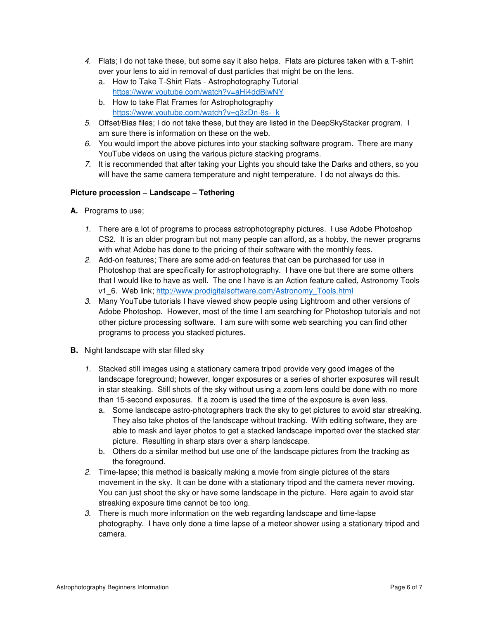- 4. Flats; I do not take these, but some say it also helps. Flats are pictures taken with a T-shirt over your lens to aid in removal of dust particles that might be on the lens.
	- a. How to Take T-Shirt Flats Astrophotography Tutorial https://www.youtube.com/watch?v=aHi4ddBjwNY
	- b. How to take Flat Frames for Astrophotography https://www.youtube.com/watch?v=g3zDn-8s- k
- 5. Offset/Bias files; I do not take these, but they are listed in the DeepSkyStacker program. I am sure there is information on these on the web.
- 6. You would import the above pictures into your stacking software program. There are many YouTube videos on using the various picture stacking programs.
- 7. It is recommended that after taking your Lights you should take the Darks and others, so you will have the same camera temperature and night temperature. I do not always do this.

# **Picture procession – Landscape – Tethering**

- **A.** Programs to use;
	- 1. There are a lot of programs to process astrophotography pictures. I use Adobe Photoshop CS2. It is an older program but not many people can afford, as a hobby, the newer programs with what Adobe has done to the pricing of their software with the monthly fees.
	- 2. Add-on features; There are some add-on features that can be purchased for use in Photoshop that are specifically for astrophotography. I have one but there are some others that I would like to have as well. The one I have is an Action feature called, Astronomy Tools v1\_6. Web link; http://www.prodigitalsoftware.com/Astronomy\_Tools.html
	- 3. Many YouTube tutorials I have viewed show people using Lightroom and other versions of Adobe Photoshop. However, most of the time I am searching for Photoshop tutorials and not other picture processing software. I am sure with some web searching you can find other programs to process you stacked pictures.
- **B.** Night landscape with star filled sky
	- 1. Stacked still images using a stationary camera tripod provide very good images of the landscape foreground; however, longer exposures or a series of shorter exposures will result in star steaking. Still shots of the sky without using a zoom lens could be done with no more than 15-second exposures. If a zoom is used the time of the exposure is even less.
		- a. Some landscape astro-photographers track the sky to get pictures to avoid star streaking. They also take photos of the landscape without tracking. With editing software, they are able to mask and layer photos to get a stacked landscape imported over the stacked star picture. Resulting in sharp stars over a sharp landscape.
		- b. Others do a similar method but use one of the landscape pictures from the tracking as the foreground.
	- 2. Time-lapse; this method is basically making a movie from single pictures of the stars movement in the sky. It can be done with a stationary tripod and the camera never moving. You can just shoot the sky or have some landscape in the picture. Here again to avoid star streaking exposure time cannot be too long.
	- 3. There is much more information on the web regarding landscape and time-lapse photography. I have only done a time lapse of a meteor shower using a stationary tripod and camera.